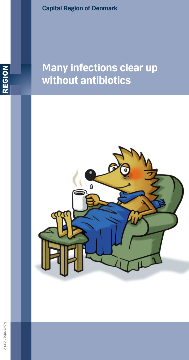**Capital Region of Denmark**



# **Many infections clear up without antibiotics**

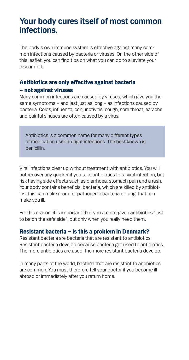# **Your body cures itself of most common infections.**

The body's own immune system is effective against many common infections caused by bacteria or viruses. On the other side of this leaflet, you can find tips on what you can do to alleviate your discomfort.

### Antibiotics are only effective against bacteria – not against viruses

Many common infections are caused by viruses, which give you the same symptoms – and last just as long – as infections caused by bacteria. Colds, influenza, conjunctivitis, cough, sore throat, earache and painful sinuses are often caused by a virus.

Antibiotics is a common name for many different types of medication used to fight infections. The best known is penicillin.

Viral infections clear up without treatment with antibiotics. You will not recover any quicker if you take antibiotics for a viral infection, but risk having side effects such as diarrhoea, stomach pain and a rash. Your body contains beneficial bacteria, which are killed by antibiotics; this can make room for pathogenic bacteria or fungi that can make you ill.

For this reason, it is important that you are not given antibiotics "just to be on the safe side", but only when you really need them.

#### Resistant bacteria – is this a problem in Denmark?

Resistant bacteria are bacteria that are resistant to antibiotics. Resistant bacteria develop because bacteria get used to antibiotics. The more antibiotics are used, the more resistant bacteria develop.

In many parts of the world, bacteria that are resistant to antibiotics are common. You must therefore tell your doctor if you become ill abroad or immediately after you return home.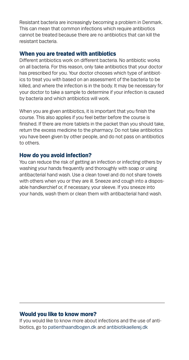Resistant bacteria are increasingly becoming a problem in Denmark. This can mean that common infections which require antibiotics cannot be treated because there are no antibiotics that can kill the resistant bacteria.

#### When you are treated with antibiotics

Different antibiotics work on different bacteria. No antibiotic works on all bacteria. For this reason, only take antibiotics that your doctor has prescribed for you. Your doctor chooses which type of antibiotics to treat you with based on an assessment of the bacteria to be killed, and where the infection is in the body. It may be necessary for your doctor to take a sample to determine if your infection is caused by bacteria and which antibiotics will work.

When you are given antibiotics, it is important that you finish the course. This also applies if you feel better before the course is finished. If there are more tablets in the packet than you should take, return the excess medicine to the pharmacy. Do not take antibiotics you have been given by other people, and do not pass on antibiotics to others.

#### How do you avoid infection?

You can reduce the risk of getting an infection or infecting others by washing your hands frequently and thoroughly with soap or using antibacterial hand wash. Use a clean towel and do not share towels with others when you or they are ill. Sneeze and cough into a disposable handkerchief or, if necessary, your sleeve. If you sneeze into your hands, wash them or clean them with antibacterial hand wash.

#### Would you like to know more?

If you would like to know more about infections and the use of antibiotics, go to patienthaandbogen.dk and antibiotikaellerej.dk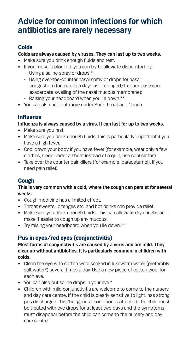# **Advice for common infections for which antibiotics are rarely necessary**

# Colds

#### **Colds are always caused by viruses. They can last up to two weeks.**

- Make sure you drink enough fluids and rest.
- If your nose is blocked, you can try to alleviate discomfort by:
	- Using a saline spray or drops;\*
	- Using over-the-counter nasal spray or drops for nasal congestion (for max. ten days as prolonged/frequent use can exacerbate swelling of the nasal mucous membrane);
	- Raising your headboard when you lie down.\*\*
- You can also find out more under Sore throat and Cough.

# Influenza

#### **Influenza is always caused by a virus. It can last for up to two weeks.**

- Make sure you rest.
- Make sure you drink enough fluids; this is particularly important if you have a high fever.
- Cool down your body if you have fever (for example, wear only a few clothes, sleep under a sheet instead of a quilt, use cool cloths).
- Take over the counter painkillers (for example, paracetamol), if you need pain relief.

# Cough

#### **This is very common with a cold, where the cough can persist for several weeks.**

- • Cough medicine has a limited effect.
- Throat sweets, lozenges etc. and hot drinks can provide relief.
- Make sure you drink enough fluids. This can alleviate dry coughs and make it easier to cough up any mucous.
- Try raising your headboard when you lie down.\*\*

# Pus in eyes/red eyes (conjunctivitis)

#### **Most forms of conjunctivitis are caused by a virus and are mild. They clear up without antibiotics. It is particularly common in children with colds.**

- Clean the eye with cotton wool soaked in lukewarm water (preferably salt water\*) several times a day. Use a new piece of cotton wool for each eye.
- You can also put saline drops in your eye.\*
- Children with mild conjunctivitis are welcome to come to the nursery and day care centre. If the child is clearly sensitive to light, has strong pus discharge or his/her general condition is affected, the child must be treated with eye drops for at least two days and the symptoms must disappear before the child can come to the nursery and day care centre.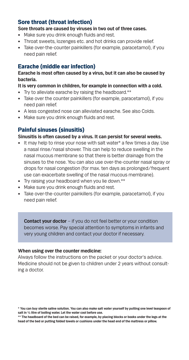### Sore throat (throat infection)

- **Sore throats are caused by viruses in two out of three cases.**
- Make sure you drink enough fluids and rest.
- Throat sweets, lozenges etc. and hot drinks can provide relief.
- Take over-the-counter painkillers (for example, paracetamol), if you need pain relief.

# Earache (middle ear infection)

#### **Earache is most often caused by a virus, but it can also be caused by bacteria.**

#### **It is very common in children, for example in connection with a cold.**

- Try to alleviate earache by raising the headboard.\*\*
- Take over the counter painkillers (for example, paracetamol), if you need pain relief.
- A less congested nose can alleviated earache. See also Colds.
- Make sure you drink enough fluids and rest.

### Painful sinuses (sinusitis)

#### **Sinusitis is often caused by a virus. It can persist for several weeks.**

- It may help to rinse your nose with salt water\* a few times a day. Use a nasal rinse/nasal shower. This can help to reduce swelling in the nasal mucous membrane so that there is better drainage from the sinuses to the nose. You can also use over-the-counter nasal spray or drops for nasal congestion (for max. ten days as prolonged/frequent use can exacerbate swelling of the nasal mucous membrane).
- Try raising your headboard when you lie down.\*\*
- Make sure you drink enough fluids and rest.
- Take over-the-counter painkillers (for example, paracetamol), if you need pain relief.

**Contact your doctor** – if you do not feel better or your condition becomes worse. Pay special attention to symptoms in infants and very young children and contact your doctor if necessary.

#### **When using over the counter medicine:**

Always follow the instructions on the packet or your doctor's advice. Medicine should not be given to children under 2 years without consulting a doctor.

**<sup>\*</sup> You can buy sterile saline solution. You can also make salt water yourself by putting one level teaspoon of salt in ½ litre of boiling water. Let the water cool before use.**

**<sup>\*\*</sup> The headboard of the bed can be raised, for example, by placing blocks or books under the legs at the head of the bed or putting folded towels or cushions under the head end of the mattress or pillow.**